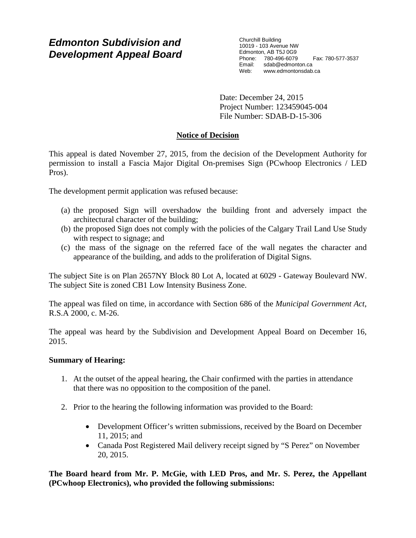# *Edmonton Subdivision and Development Appeal Board*

Churchill Building 10019 - 103 Avenue NW Edmonton, AB T5J 0G9 Phone: 780-496-6079 Fax: 780-577-3537 Email: sdab@edmonton.ca<br>Web: www.edmontonsdab www.edmontonsdab.ca

Date: December 24, 2015 Project Number: 123459045-004 File Number: SDAB-D-15-306

# **Notice of Decision**

This appeal is dated November 27, 2015, from the decision of the Development Authority for permission to install a Fascia Major Digital On-premises Sign (PCwhoop Electronics / LED Pros).

The development permit application was refused because:

- (a) the proposed Sign will overshadow the building front and adversely impact the architectural character of the building;
- (b) the proposed Sign does not comply with the policies of the Calgary Trail Land Use Study with respect to signage; and
- (c) the mass of the signage on the referred face of the wall negates the character and appearance of the building, and adds to the proliferation of Digital Signs.

The subject Site is on Plan 2657NY Block 80 Lot A, located at 6029 - Gateway Boulevard NW. The subject Site is zoned CB1 Low Intensity Business Zone.

The appeal was filed on time, in accordance with Section 686 of the *Municipal Government Act*, R.S.A 2000, c. M-26.

The appeal was heard by the Subdivision and Development Appeal Board on December 16, 2015.

## **Summary of Hearing:**

- 1. At the outset of the appeal hearing, the Chair confirmed with the parties in attendance that there was no opposition to the composition of the panel.
- 2. Prior to the hearing the following information was provided to the Board:
	- Development Officer's written submissions, received by the Board on December 11, 2015; and
	- Canada Post Registered Mail delivery receipt signed by "S Perez" on November 20, 2015.

**The Board heard from Mr. P. McGie, with LED Pros, and Mr. S. Perez, the Appellant (PCwhoop Electronics), who provided the following submissions:**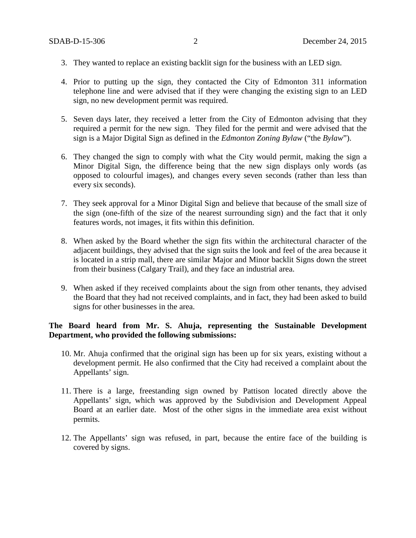- 3. They wanted to replace an existing backlit sign for the business with an LED sign.
- 4. Prior to putting up the sign, they contacted the City of Edmonton 311 information telephone line and were advised that if they were changing the existing sign to an LED sign, no new development permit was required.
- 5. Seven days later, they received a letter from the City of Edmonton advising that they required a permit for the new sign. They filed for the permit and were advised that the sign is a Major Digital Sign as defined in the *Edmonton Zoning Bylaw* ("the *Bylaw*").
- 6. They changed the sign to comply with what the City would permit, making the sign a Minor Digital Sign, the difference being that the new sign displays only words (as opposed to colourful images), and changes every seven seconds (rather than less than every six seconds).
- 7. They seek approval for a Minor Digital Sign and believe that because of the small size of the sign (one-fifth of the size of the nearest surrounding sign) and the fact that it only features words, not images, it fits within this definition.
- 8. When asked by the Board whether the sign fits within the architectural character of the adjacent buildings, they advised that the sign suits the look and feel of the area because it is located in a strip mall, there are similar Major and Minor backlit Signs down the street from their business (Calgary Trail), and they face an industrial area.
- 9. When asked if they received complaints about the sign from other tenants, they advised the Board that they had not received complaints, and in fact, they had been asked to build signs for other businesses in the area.

# **The Board heard from Mr. S. Ahuja, representing the Sustainable Development Department, who provided the following submissions:**

- 10. Mr. Ahuja confirmed that the original sign has been up for six years, existing without a development permit. He also confirmed that the City had received a complaint about the Appellants' sign.
- 11. There is a large, freestanding sign owned by Pattison located directly above the Appellants' sign, which was approved by the Subdivision and Development Appeal Board at an earlier date. Most of the other signs in the immediate area exist without permits.
- 12. The Appellants' sign was refused, in part, because the entire face of the building is covered by signs.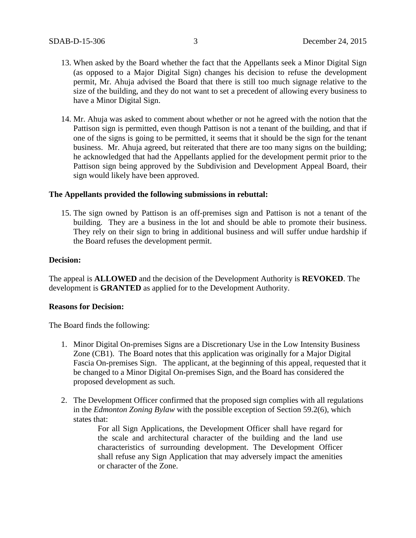- 13. When asked by the Board whether the fact that the Appellants seek a Minor Digital Sign (as opposed to a Major Digital Sign) changes his decision to refuse the development permit, Mr. Ahuja advised the Board that there is still too much signage relative to the size of the building, and they do not want to set a precedent of allowing every business to have a Minor Digital Sign.
- 14. Mr. Ahuja was asked to comment about whether or not he agreed with the notion that the Pattison sign is permitted, even though Pattison is not a tenant of the building, and that if one of the signs is going to be permitted, it seems that it should be the sign for the tenant business. Mr. Ahuja agreed, but reiterated that there are too many signs on the building; he acknowledged that had the Appellants applied for the development permit prior to the Pattison sign being approved by the Subdivision and Development Appeal Board, their sign would likely have been approved.

### **The Appellants provided the following submissions in rebuttal:**

15. The sign owned by Pattison is an off-premises sign and Pattison is not a tenant of the building. They are a business in the lot and should be able to promote their business. They rely on their sign to bring in additional business and will suffer undue hardship if the Board refuses the development permit.

### **Decision:**

The appeal is **ALLOWED** and the decision of the Development Authority is **REVOKED**. The development is **GRANTED** as applied for to the Development Authority.

### **Reasons for Decision:**

The Board finds the following:

- 1. Minor Digital On-premises Signs are a Discretionary Use in the Low Intensity Business Zone (CB1). The Board notes that this application was originally for a Major Digital Fascia On-premises Sign. The applicant, at the beginning of this appeal, requested that it be changed to a Minor Digital On-premises Sign, and the Board has considered the proposed development as such.
- 2. The Development Officer confirmed that the proposed sign complies with all regulations in the *Edmonton Zoning Bylaw* with the possible exception of Section 59.2(6), which states that:

For all Sign Applications, the Development Officer shall have regard for the scale and architectural character of the building and the land use characteristics of surrounding development. The Development Officer shall refuse any Sign Application that may adversely impact the amenities or character of the Zone.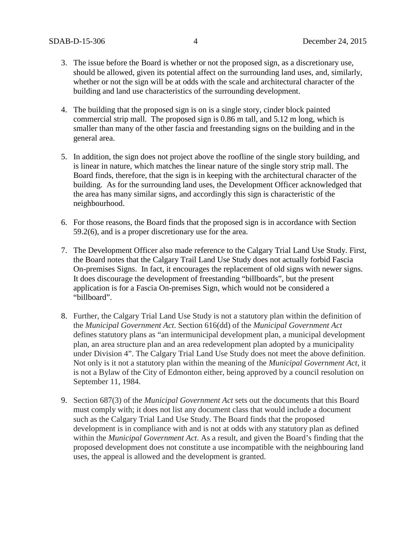- 3. The issue before the Board is whether or not the proposed sign, as a discretionary use, should be allowed, given its potential affect on the surrounding land uses, and, similarly, whether or not the sign will be at odds with the scale and architectural character of the building and land use characteristics of the surrounding development.
- 4. The building that the proposed sign is on is a single story, cinder block painted commercial strip mall. The proposed sign is 0.86 m tall, and 5.12 m long, which is smaller than many of the other fascia and freestanding signs on the building and in the general area.
- 5. In addition, the sign does not project above the roofline of the single story building, and is linear in nature, which matches the linear nature of the single story strip mall. The Board finds, therefore, that the sign is in keeping with the architectural character of the building. As for the surrounding land uses, the Development Officer acknowledged that the area has many similar signs, and accordingly this sign is characteristic of the neighbourhood.
- 6. For those reasons, the Board finds that the proposed sign is in accordance with Section 59.2(6), and is a proper discretionary use for the area.
- 7. The Development Officer also made reference to the Calgary Trial Land Use Study. First, the Board notes that the Calgary Trail Land Use Study does not actually forbid Fascia On-premises Signs. In fact, it encourages the replacement of old signs with newer signs. It does discourage the development of freestanding "billboards", but the present application is for a Fascia On-premises Sign, which would not be considered a "billboard".
- 8. Further, the Calgary Trial Land Use Study is not a statutory plan within the definition of the *Municipal Government Act*. Section 616(dd) of the *Municipal Government Act*  defines statutory plans as "an intermunicipal development plan, a municipal development plan, an area structure plan and an area redevelopment plan adopted by a municipality under Division 4". The Calgary Trial Land Use Study does not meet the above definition. Not only is it not a statutory plan within the meaning of the *Municipal Government Act*, it is not a Bylaw of the City of Edmonton either, being approved by a council resolution on September 11, 1984.
- 9. Section 687(3) of the *Municipal Government Act* sets out the documents that this Board must comply with; it does not list any document class that would include a document such as the Calgary Trial Land Use Study. The Board finds that the proposed development is in compliance with and is not at odds with any statutory plan as defined within the *Municipal Government Act*. As a result, and given the Board's finding that the proposed development does not constitute a use incompatible with the neighbouring land uses, the appeal is allowed and the development is granted.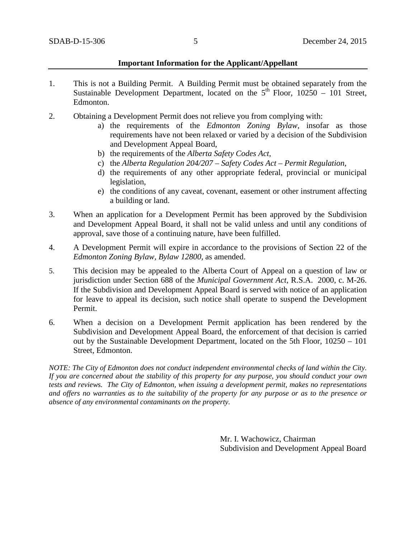### **Important Information for the Applicant/Appellant**

- 1. This is not a Building Permit. A Building Permit must be obtained separately from the Sustainable Development Department, located on the  $5<sup>th</sup>$  Floor, 10250 – 101 Street, Edmonton.
- 2. Obtaining a Development Permit does not relieve you from complying with:
	- a) the requirements of the *Edmonton Zoning Bylaw*, insofar as those requirements have not been relaxed or varied by a decision of the Subdivision and Development Appeal Board,
	- b) the requirements of the *Alberta Safety Codes Act*,
	- c) the *Alberta Regulation 204/207 – Safety Codes Act – Permit Regulation*,
	- d) the requirements of any other appropriate federal, provincial or municipal legislation,
	- e) the conditions of any caveat, covenant, easement or other instrument affecting a building or land.
- 3. When an application for a Development Permit has been approved by the Subdivision and Development Appeal Board, it shall not be valid unless and until any conditions of approval, save those of a continuing nature, have been fulfilled.
- 4. A Development Permit will expire in accordance to the provisions of Section 22 of the *Edmonton Zoning Bylaw, Bylaw 12800*, as amended.
- 5. This decision may be appealed to the Alberta Court of Appeal on a question of law or jurisdiction under Section 688 of the *Municipal Government Act*, R.S.A. 2000, c. M-26. If the Subdivision and Development Appeal Board is served with notice of an application for leave to appeal its decision, such notice shall operate to suspend the Development Permit.
- 6. When a decision on a Development Permit application has been rendered by the Subdivision and Development Appeal Board, the enforcement of that decision is carried out by the Sustainable Development Department, located on the 5th Floor, 10250 – 101 Street, Edmonton.

*NOTE: The City of Edmonton does not conduct independent environmental checks of land within the City. If you are concerned about the stability of this property for any purpose, you should conduct your own tests and reviews. The City of Edmonton, when issuing a development permit, makes no representations and offers no warranties as to the suitability of the property for any purpose or as to the presence or absence of any environmental contaminants on the property.*

> Mr. I. Wachowicz, Chairman Subdivision and Development Appeal Board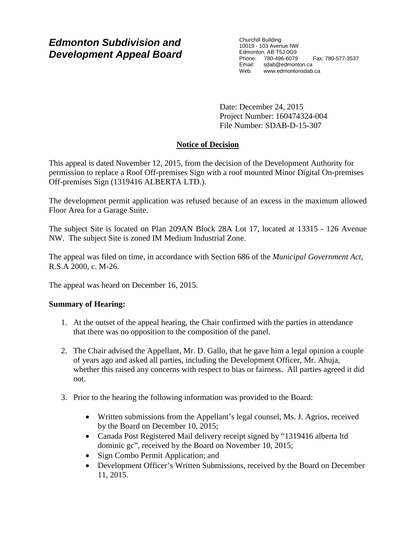# *Edmonton Subdivision and Development Appeal Board*

Churchill Building 10019 - 103 Avenue NW Edmonton, AB T5J 0G9 Phone: 780-496-6079 Fax: 780-577-3537 Email: sdab@edmonton.ca Web: www.edmontonsdab.ca

Date: December 24, 2015 Project Number: 160474324-004 File Number: SDAB-D-15-307

# **Notice of Decision**

This appeal is dated November 12, 2015, from the decision of the Development Authority for permission to replace a Roof Off-premises Sign with a roof mounted Minor Digital On-premises Off-premises Sign (1319416 ALBERTA LTD.).

The development permit application was refused because of an excess in the maximum allowed Floor Area for a Garage Suite.

The subject Site is located on Plan 209AN Block 28A Lot 17, located at 13315 - 126 Avenue NW. The subject Site is zoned IM Medium Industrial Zone.

The appeal was filed on time, in accordance with Section 686 of the *Municipal Government Act*, R.S.A 2000, c. M-26.

The appeal was heard on December 16, 2015.

# **Summary of Hearing:**

- 1. At the outset of the appeal hearing, the Chair confirmed with the parties in attendance that there was no opposition to the composition of the panel.
- 2. The Chair advised the Appellant, Mr. D. Gallo, that he gave him a legal opinion a couple of years ago and asked all parties, including the Development Officer, Mr. Ahuja, whether this raised any concerns with respect to bias or fairness. All parties agreed it did not.
- 3. Prior to the hearing the following information was provided to the Board:
	- Written submissions from the Appellant's legal counsel, Ms. J. Agrios, received by the Board on December 10, 2015;
	- Canada Post Registered Mail delivery receipt signed by "1319416 alberta ltd dominic gc", received by the Board on November 10, 2015;
	- Sign Combo Permit Application; and
	- Development Officer's Written Submissions, received by the Board on December 11, 2015.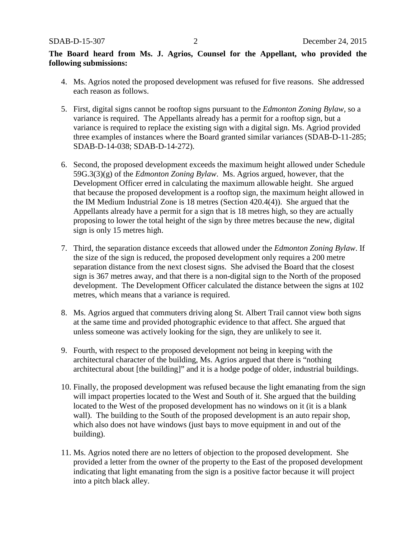# **The Board heard from Ms. J. Agrios, Counsel for the Appellant, who provided the following submissions:**

- 4. Ms. Agrios noted the proposed development was refused for five reasons. She addressed each reason as follows.
- 5. First, digital signs cannot be rooftop signs pursuant to the *Edmonton Zoning Bylaw*, so a variance is required. The Appellants already has a permit for a rooftop sign, but a variance is required to replace the existing sign with a digital sign. Ms. Agriod provided three examples of instances where the Board granted similar variances (SDAB-D-11-285; SDAB-D-14-038; SDAB-D-14-272).
- 6. Second, the proposed development exceeds the maximum height allowed under Schedule 59G.3(3)(g) of the *Edmonton Zoning Bylaw*. Ms. Agrios argued, however, that the Development Officer erred in calculating the maximum allowable height. She argued that because the proposed development is a rooftop sign, the maximum height allowed in the IM Medium Industrial Zone is 18 metres (Section 420.4(4)). She argued that the Appellants already have a permit for a sign that is 18 metres high, so they are actually proposing to lower the total height of the sign by three metres because the new, digital sign is only 15 metres high.
- 7. Third, the separation distance exceeds that allowed under the *Edmonton Zoning Bylaw*. If the size of the sign is reduced, the proposed development only requires a 200 metre separation distance from the next closest signs. She advised the Board that the closest sign is 367 metres away, and that there is a non-digital sign to the North of the proposed development. The Development Officer calculated the distance between the signs at 102 metres, which means that a variance is required.
- 8. Ms. Agrios argued that commuters driving along St. Albert Trail cannot view both signs at the same time and provided photographic evidence to that affect. She argued that unless someone was actively looking for the sign, they are unlikely to see it.
- 9. Fourth, with respect to the proposed development not being in keeping with the architectural character of the building, Ms. Agrios argued that there is "nothing architectural about [the building]" and it is a hodge podge of older, industrial buildings.
- 10. Finally, the proposed development was refused because the light emanating from the sign will impact properties located to the West and South of it. She argued that the building located to the West of the proposed development has no windows on it (it is a blank wall). The building to the South of the proposed development is an auto repair shop, which also does not have windows (just bays to move equipment in and out of the building).
- 11. Ms. Agrios noted there are no letters of objection to the proposed development. She provided a letter from the owner of the property to the East of the proposed development indicating that light emanating from the sign is a positive factor because it will project into a pitch black alley.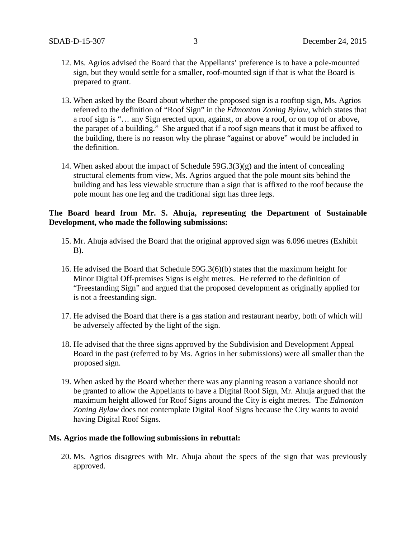- 12. Ms. Agrios advised the Board that the Appellants' preference is to have a pole-mounted sign, but they would settle for a smaller, roof-mounted sign if that is what the Board is prepared to grant.
- 13. When asked by the Board about whether the proposed sign is a rooftop sign, Ms. Agrios referred to the definition of "Roof Sign" in the *Edmonton Zoning Bylaw*, which states that a roof sign is "… any Sign erected upon, against, or above a roof, or on top of or above, the parapet of a building." She argued that if a roof sign means that it must be affixed to the building, there is no reason why the phrase "against or above" would be included in the definition.
- 14. When asked about the impact of Schedule 59G.3(3)(g) and the intent of concealing structural elements from view, Ms. Agrios argued that the pole mount sits behind the building and has less viewable structure than a sign that is affixed to the roof because the pole mount has one leg and the traditional sign has three legs.

## **The Board heard from Mr. S. Ahuja, representing the Department of Sustainable Development, who made the following submissions:**

- 15. Mr. Ahuja advised the Board that the original approved sign was 6.096 metres (Exhibit  $B$ ).
- 16. He advised the Board that Schedule 59G.3(6)(b) states that the maximum height for Minor Digital Off-premises Signs is eight metres. He referred to the definition of "Freestanding Sign" and argued that the proposed development as originally applied for is not a freestanding sign.
- 17. He advised the Board that there is a gas station and restaurant nearby, both of which will be adversely affected by the light of the sign.
- 18. He advised that the three signs approved by the Subdivision and Development Appeal Board in the past (referred to by Ms. Agrios in her submissions) were all smaller than the proposed sign.
- 19. When asked by the Board whether there was any planning reason a variance should not be granted to allow the Appellants to have a Digital Roof Sign, Mr. Ahuja argued that the maximum height allowed for Roof Signs around the City is eight metres. The *Edmonton Zoning Bylaw* does not contemplate Digital Roof Signs because the City wants to avoid having Digital Roof Signs.

### **Ms. Agrios made the following submissions in rebuttal:**

20. Ms. Agrios disagrees with Mr. Ahuja about the specs of the sign that was previously approved.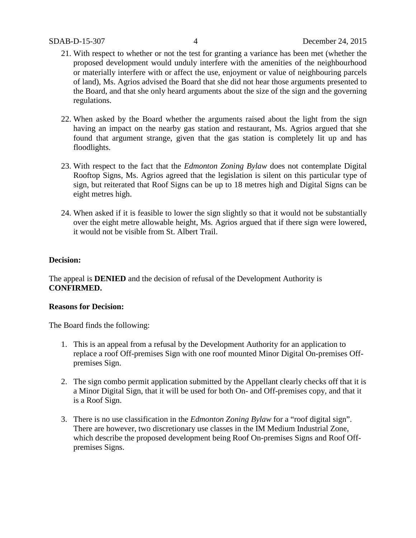- 21. With respect to whether or not the test for granting a variance has been met (whether the proposed development would unduly interfere with the amenities of the neighbourhood or materially interfere with or affect the use, enjoyment or value of neighbouring parcels of land), Ms. Agrios advised the Board that she did not hear those arguments presented to the Board, and that she only heard arguments about the size of the sign and the governing regulations.
- 22. When asked by the Board whether the arguments raised about the light from the sign having an impact on the nearby gas station and restaurant, Ms. Agrios argued that she found that argument strange, given that the gas station is completely lit up and has floodlights.
- 23. With respect to the fact that the *Edmonton Zoning Bylaw* does not contemplate Digital Rooftop Signs, Ms. Agrios agreed that the legislation is silent on this particular type of sign, but reiterated that Roof Signs can be up to 18 metres high and Digital Signs can be eight metres high.
- 24. When asked if it is feasible to lower the sign slightly so that it would not be substantially over the eight metre allowable height, Ms. Agrios argued that if there sign were lowered, it would not be visible from St. Albert Trail.

## **Decision:**

The appeal is **DENIED** and the decision of refusal of the Development Authority is **CONFIRMED.** 

## **Reasons for Decision:**

The Board finds the following:

- 1. This is an appeal from a refusal by the Development Authority for an application to replace a roof Off-premises Sign with one roof mounted Minor Digital On-premises Offpremises Sign.
- 2. The sign combo permit application submitted by the Appellant clearly checks off that it is a Minor Digital Sign, that it will be used for both On- and Off-premises copy, and that it is a Roof Sign.
- 3. There is no use classification in the *Edmonton Zoning Bylaw* for a "roof digital sign". There are however, two discretionary use classes in the IM Medium Industrial Zone, which describe the proposed development being Roof On-premises Signs and Roof Offpremises Signs.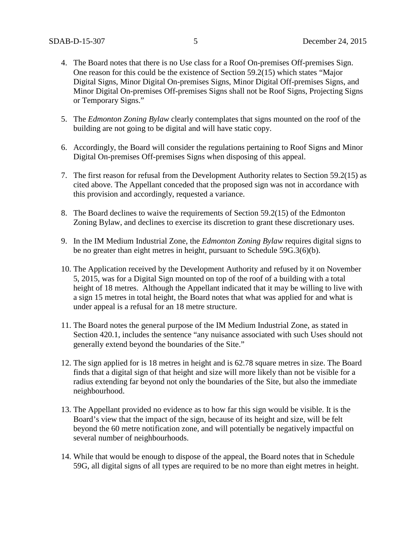- 4. The Board notes that there is no Use class for a Roof On-premises Off-premises Sign. One reason for this could be the existence of Section 59.2(15) which states "Major Digital Signs, Minor Digital On-premises Signs, Minor Digital Off-premises Signs, and Minor Digital On-premises Off-premises Signs shall not be Roof Signs, Projecting Signs or Temporary Signs."
- 5. The *Edmonton Zoning Bylaw* clearly contemplates that signs mounted on the roof of the building are not going to be digital and will have static copy.
- 6. Accordingly, the Board will consider the regulations pertaining to Roof Signs and Minor Digital On-premises Off-premises Signs when disposing of this appeal.
- 7. The first reason for refusal from the Development Authority relates to Section 59.2(15) as cited above. The Appellant conceded that the proposed sign was not in accordance with this provision and accordingly, requested a variance.
- 8. The Board declines to waive the requirements of Section 59.2(15) of the Edmonton Zoning Bylaw, and declines to exercise its discretion to grant these discretionary uses.
- 9. In the IM Medium Industrial Zone, the *Edmonton Zoning Bylaw* requires digital signs to be no greater than eight metres in height, pursuant to Schedule 59G.3(6)(b).
- 10. The Application received by the Development Authority and refused by it on November 5, 2015, was for a Digital Sign mounted on top of the roof of a building with a total height of 18 metres. Although the Appellant indicated that it may be willing to live with a sign 15 metres in total height, the Board notes that what was applied for and what is under appeal is a refusal for an 18 metre structure.
- 11. The Board notes the general purpose of the IM Medium Industrial Zone, as stated in Section 420.1, includes the sentence "any nuisance associated with such Uses should not generally extend beyond the boundaries of the Site."
- 12. The sign applied for is 18 metres in height and is 62.78 square metres in size. The Board finds that a digital sign of that height and size will more likely than not be visible for a radius extending far beyond not only the boundaries of the Site, but also the immediate neighbourhood.
- 13. The Appellant provided no evidence as to how far this sign would be visible. It is the Board's view that the impact of the sign, because of its height and size, will be felt beyond the 60 metre notification zone, and will potentially be negatively impactful on several number of neighbourhoods.
- 14. While that would be enough to dispose of the appeal, the Board notes that in Schedule 59G, all digital signs of all types are required to be no more than eight metres in height.